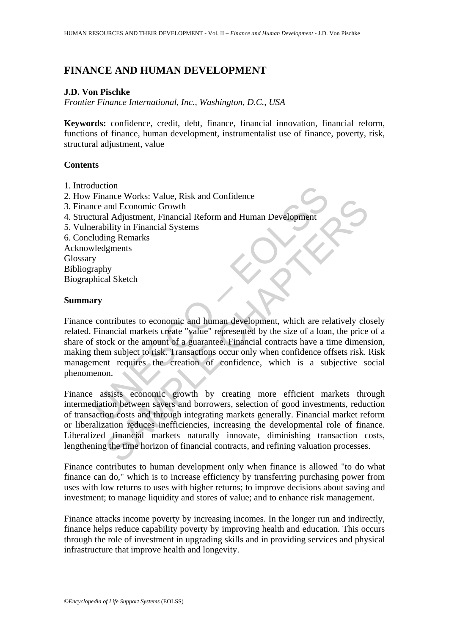# **FINANCE AND HUMAN DEVELOPMENT**

## **J.D. Von Pischke**

*Frontier Finance International, Inc., Washington, D.C., USA* 

**Keywords:** confidence, credit, debt, finance, financial innovation, financial reform, functions of finance, human development, instrumentalist use of finance, poverty, risk, structural adjustment, value

## **Contents**

- 1. Introduction
- 2. How Finance Works: Value, Risk and Confidence
- 3. Finance and Economic Growth
- 4. Structural Adjustment, Financial Reform and Human Development
- 5. Vulnerability in Financial Systems
- 6. Concluding Remarks Acknowledgments
- Glossary Bibliography
- Biographical Sketch

## **Summary**

Evance Works: Value, Risk and Confidence<br>
Evance and Economic Growth<br>
tural Adjustment, Financial Reform and Human Development<br>
raphly<br>
y<br>
y<br>
y<br>
contributes to economic and human development, which are rel<br>
raphy<br>
whical S and Economic Growth<br>
and Economic Growth<br>
and Economic Growth<br>
and Economic Growth<br>
and Economic Growth<br>
and Human Development<br>
ing Remarks<br>
ignensts<br>
ignensts<br>
signensts<br>
signensts<br>
signensts<br>
by<br>
signensts<br>
signensts<br>
si Finance contributes to economic and human development, which are relatively closely related. Financial markets create "value" represented by the size of a loan, the price of a share of stock or the amount of a guarantee. Financial contracts have a time dimension, making them subject to risk. Transactions occur only when confidence offsets risk. Risk management requires the creation of confidence, which is a subjective social phenomenon.

Finance assists economic growth by creating more efficient markets through intermediation between savers and borrowers, selection of good investments, reduction of transaction costs and through integrating markets generally. Financial market reform or liberalization reduces inefficiencies, increasing the developmental role of finance. Liberalized financial markets naturally innovate, diminishing transaction costs, lengthening the time horizon of financial contracts, and refining valuation processes.

Finance contributes to human development only when finance is allowed "to do what finance can do," which is to increase efficiency by transferring purchasing power from uses with low returns to uses with higher returns; to improve decisions about saving and investment; to manage liquidity and stores of value; and to enhance risk management.

Finance attacks income poverty by increasing incomes. In the longer run and indirectly, finance helps reduce capability poverty by improving health and education. This occurs through the role of investment in upgrading skills and in providing services and physical infrastructure that improve health and longevity.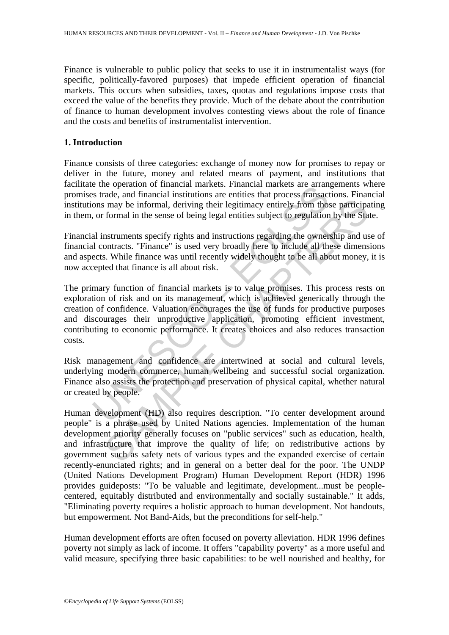Finance is vulnerable to public policy that seeks to use it in instrumentalist ways (for specific, politically-favored purposes) that impede efficient operation of financial markets. This occurs when subsidies, taxes, quotas and regulations impose costs that exceed the value of the benefits they provide. Much of the debate about the contribution of finance to human development involves contesting views about the role of finance and the costs and benefits of instrumentalist intervention.

# **1. Introduction**

Finance consists of three categories: exchange of money now for promises to repay or deliver in the future, money and related means of payment, and institutions that facilitate the operation of financial markets. Financial markets are arrangements where promises trade, and financial institutions are entities that process transactions. Financial institutions may be informal, deriving their legitimacy entirely from those participating in them, or formal in the sense of being legal entities subject to regulation by the State.

Financial instruments specify rights and instructions regarding the ownership and use of financial contracts. "Finance" is used very broadly here to include all these dimensions and aspects. While finance was until recently widely thought to be all about money, it is now accepted that finance is all about risk.

is the electration of mianchar matters. Fundarial matters are arian<br>an interest and financial institutions are entities that process transact<br>ons may be informal, deriving their legitimacy entirely from those<br>on smay be in may be informal, deriving their legitimacy entirely from those participational in the sense of being legal entities subject to regulation by the Standaruments specify rights and instructions regarding the ownership and us The primary function of financial markets is to value promises. This process rests on exploration of risk and on its management, which is achieved generically through the creation of confidence. Valuation encourages the use of funds for productive purposes and discourages their unproductive application, promoting efficient investment, contributing to economic performance. It creates choices and also reduces transaction costs.

Risk management and confidence are intertwined at social and cultural levels, underlying modern commerce, human wellbeing and successful social organization. Finance also assists the protection and preservation of physical capital, whether natural or created by people.

Human development (HD) also requires description. "To center development around people" is a phrase used by United Nations agencies. Implementation of the human development priority generally focuses on "public services" such as education, health, and infrastructure that improve the quality of life; on redistributive actions by government such as safety nets of various types and the expanded exercise of certain recently-enunciated rights; and in general on a better deal for the poor. The UNDP (United Nations Development Program) Human Development Report (HDR) 1996 provides guideposts: "To be valuable and legitimate, development...must be peoplecentered, equitably distributed and environmentally and socially sustainable." It adds, "Eliminating poverty requires a holistic approach to human development. Not handouts, but empowerment. Not Band-Aids, but the preconditions for self-help."

Human development efforts are often focused on poverty alleviation. HDR 1996 defines poverty not simply as lack of income. It offers "capability poverty" as a more useful and valid measure, specifying three basic capabilities: to be well nourished and healthy, for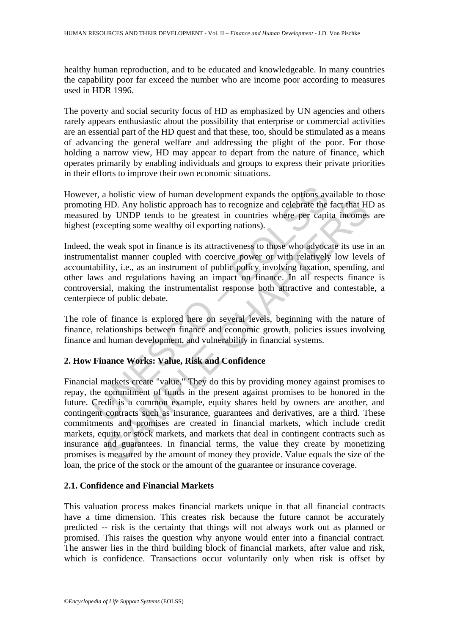healthy human reproduction, and to be educated and knowledgeable. In many countries the capability poor far exceed the number who are income poor according to measures used in HDR 1996.

The poverty and social security focus of HD as emphasized by UN agencies and others rarely appears enthusiastic about the possibility that enterprise or commercial activities are an essential part of the HD quest and that these, too, should be stimulated as a means of advancing the general welfare and addressing the plight of the poor. For those holding a narrow view, HD may appear to depart from the nature of finance, which operates primarily by enabling individuals and groups to express their private priorities in their efforts to improve their own economic situations.

However, a holistic view of human development expands the options available to those promoting HD. Any holistic approach has to recognize and celebrate the fact that HD as measured by UNDP tends to be greatest in countries where per capita incomes are highest (excepting some wealthy oil exporting nations).

er, a holistic view of human development expands the options ave and HD. Any holistic approach has to recognize and celebrate the ed by UNDP tends to be greatest in countries where per capited (excepting some wealthy oil e Indeed, the weak spot in finance is its attractiveness to those who advocate its use in an instrumentalist manner coupled with coercive power or with relatively low levels of accountability, i.e., as an instrument of public policy involving taxation, spending, and other laws and regulations having an impact on finance. In all respects finance is controversial, making the instrumentalist response both attractive and contestable, a centerpiece of public debate.

The role of finance is explored here on several levels, beginning with the nature of finance, relationships between finance and economic growth, policies issues involving finance and human development, and vulnerability in financial systems.

# **2. How Finance Works: Value, Risk and Confidence**

HD. Any holistic approach has to recognize and celebrate the fact that HHD CM any holistic approach has to recognize and celebrate the fact that HHD WNDP tends to be greatest in countries where per capita incomes<br>cepting s Financial markets create "value." They do this by providing money against promises to repay, the commitment of funds in the present against promises to be honored in the future. Credit is a common example, equity shares held by owners are another, and contingent contracts such as insurance, guarantees and derivatives, are a third. These commitments and promises are created in financial markets, which include credit markets, equity or stock markets, and markets that deal in contingent contracts such as insurance and guarantees. In financial terms, the value they create by monetizing promises is measured by the amount of money they provide. Value equals the size of the loan, the price of the stock or the amount of the guarantee or insurance coverage.

# **2.1. Confidence and Financial Markets**

This valuation process makes financial markets unique in that all financial contracts have a time dimension. This creates risk because the future cannot be accurately predicted -- risk is the certainty that things will not always work out as planned or promised. This raises the question why anyone would enter into a financial contract. The answer lies in the third building block of financial markets, after value and risk, which is confidence. Transactions occur voluntarily only when risk is offset by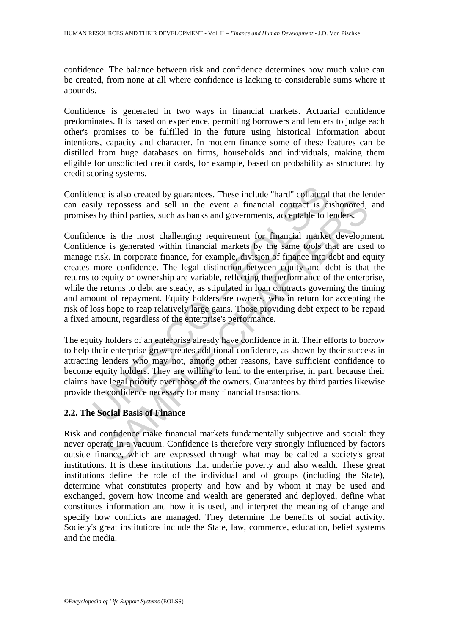confidence. The balance between risk and confidence determines how much value can be created, from none at all where confidence is lacking to considerable sums where it abounds.

Confidence is generated in two ways in financial markets. Actuarial confidence predominates. It is based on experience, permitting borrowers and lenders to judge each other's promises to be fulfilled in the future using historical information about intentions, capacity and character. In modern finance some of these features can be distilled from huge databases on firms, households and individuals, making them eligible for unsolicited credit cards, for example, based on probability as structured by credit scoring systems.

Confidence is also created by guarantees. These include "hard" collateral that the lender can easily repossess and sell in the event a financial contract is dishonored, and promises by third parties, such as banks and governments, acceptable to lenders.

nce is also created by guarantees. These include "hard" collateraly repossess and sell in the event a financial contract is dis by third parties, such as banks and governments, acceptable to lonce is the most challenging r repossess and sell in the event a financial contract is dishonored, y third parties, such as banks and governments, acceptable to lenders.<br>
2 is the most challenging requirement for financial market developments is generat Confidence is the most challenging requirement for financial market development. Confidence is generated within financial markets by the same tools that are used to manage risk. In corporate finance, for example, division of finance into debt and equity creates more confidence. The legal distinction between equity and debt is that the returns to equity or ownership are variable, reflecting the performance of the enterprise, while the returns to debt are steady, as stipulated in loan contracts governing the timing and amount of repayment. Equity holders are owners, who in return for accepting the risk of loss hope to reap relatively large gains. Those providing debt expect to be repaid a fixed amount, regardless of the enterprise's performance.

The equity holders of an enterprise already have confidence in it. Their efforts to borrow to help their enterprise grow creates additional confidence, as shown by their success in attracting lenders who may not, among other reasons, have sufficient confidence to become equity holders. They are willing to lend to the enterprise, in part, because their claims have legal priority over those of the owners. Guarantees by third parties likewise provide the confidence necessary for many financial transactions.

# **2.2. The Social Basis of Finance**

Risk and confidence make financial markets fundamentally subjective and social: they never operate in a vacuum. Confidence is therefore very strongly influenced by factors outside finance, which are expressed through what may be called a society's great institutions. It is these institutions that underlie poverty and also wealth. These great institutions define the role of the individual and of groups (including the State), determine what constitutes property and how and by whom it may be used and exchanged, govern how income and wealth are generated and deployed, define what constitutes information and how it is used, and interpret the meaning of change and specify how conflicts are managed. They determine the benefits of social activity. Society's great institutions include the State, law, commerce, education, belief systems and the media.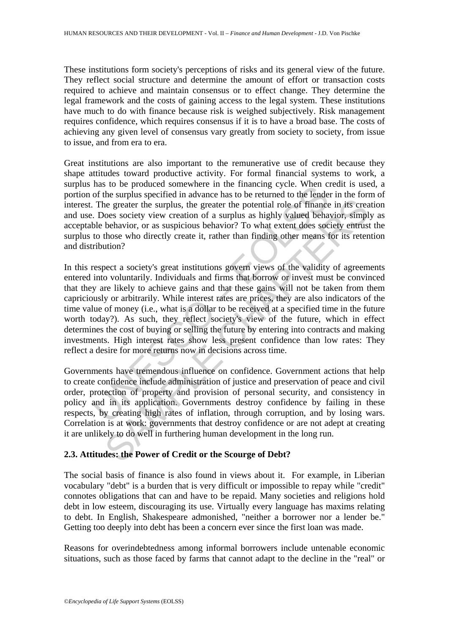These institutions form society's perceptions of risks and its general view of the future. They reflect social structure and determine the amount of effort or transaction costs required to achieve and maintain consensus or to effect change. They determine the legal framework and the costs of gaining access to the legal system. These institutions have much to do with finance because risk is weighed subjectively. Risk management requires confidence, which requires consensus if it is to have a broad base. The costs of achieving any given level of consensus vary greatly from society to society, from issue to issue, and from era to era.

Great institutions are also important to the remunerative use of credit because they shape attitudes toward productive activity. For formal financial systems to work, a surplus has to be produced somewhere in the financing cycle. When credit is used, a portion of the surplus specified in advance has to be returned to the lender in the form of interest. The greater the surplus, the greater the potential role of finance in its creation and use. Does society view creation of a surplus as highly valued behavior, simply as acceptable behavior, or as suspicious behavior? To what extent does society entrust the surplus to those who directly create it, rather than finding other means for its retention and distribution?

as to be potouced somewhere in the manning cycle. when can<br>of the surplus specified in advance has to be returned to the lende<br>of the surplus specified in advance has to be returned to the lende<br>of the surplus specified in increaring the surplus, the greater the potential role of finance in its creation is expected by via the syrus as highly valued behavior, simply behavior, or as suspicious behavior? To what extent does society entrusy beha In this respect a society's great institutions govern views of the validity of agreements entered into voluntarily. Individuals and firms that borrow or invest must be convinced that they are likely to achieve gains and that these gains will not be taken from them capriciously or arbitrarily. While interest rates are prices, they are also indicators of the time value of money (i.e., what is a dollar to be received at a specified time in the future worth today?). As such, they reflect society's view of the future, which in effect determines the cost of buying or selling the future by entering into contracts and making investments. High interest rates show less present confidence than low rates: They reflect a desire for more returns now in decisions across time.

Governments have tremendous influence on confidence. Government actions that help to create confidence include administration of justice and preservation of peace and civil order, protection of property and provision of personal security, and consistency in policy and in its application. Governments destroy confidence by failing in these respects, by creating high rates of inflation, through corruption, and by losing wars. Correlation is at work: governments that destroy confidence or are not adept at creating it are unlikely to do well in furthering human development in the long run.

# **2.3. Attitudes: the Power of Credit or the Scourge of Debt?**

The social basis of finance is also found in views about it. For example, in Liberian vocabulary "debt" is a burden that is very difficult or impossible to repay while "credit" connotes obligations that can and have to be repaid. Many societies and religions hold debt in low esteem, discouraging its use. Virtually every language has maxims relating to debt. In English, Shakespeare admonished, "neither a borrower nor a lender be." Getting too deeply into debt has been a concern ever since the first loan was made.

Reasons for overindebtedness among informal borrowers include untenable economic situations, such as those faced by farms that cannot adapt to the decline in the "real" or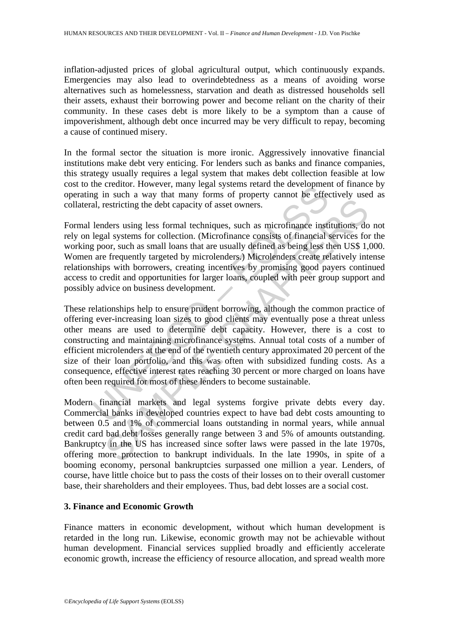inflation-adjusted prices of global agricultural output, which continuously expands. Emergencies may also lead to overindebtedness as a means of avoiding worse alternatives such as homelessness, starvation and death as distressed households sell their assets, exhaust their borrowing power and become reliant on the charity of their community. In these cases debt is more likely to be a symptom than a cause of impoverishment, although debt once incurred may be very difficult to repay, becoming a cause of continued misery.

In the formal sector the situation is more ironic. Aggressively innovative financial institutions make debt very enticing. For lenders such as banks and finance companies, this strategy usually requires a legal system that makes debt collection feasible at low cost to the creditor. However, many legal systems retard the development of finance by operating in such a way that many forms of property cannot be effectively used as collateral, restricting the debt capacity of asset owners.

Formal lenders using less formal techniques, such as microfinance institutions, do not rely on legal systems for collection. (Microfinance consists of financial services for the working poor, such as small loans that are usually defined as being less then US\$ 1,000. Women are frequently targeted by microlenders.) Microlenders create relatively intense relationships with borrowers, creating incentives by promising good payers continued access to credit and opportunities for larger loans, coupled with peer group support and possibly advice on business development.

In succession. Intervery, many legal systems letatu the development<br>and in such a way that many forms of property cannot be effected, restricting the debt capacity of asset owners.<br>
lenders using less formal techniques, su estricting the debt capacity of asset owners.<br>
aders using less formal techniques, such as microfinance institutions, do<br>
al systems for collection. (Microfinance consists of financial services for<br>
oor, such as small loan These relationships help to ensure prudent borrowing, although the common practice of offering ever-increasing loan sizes to good clients may eventually pose a threat unless other means are used to determine debt capacity. However, there is a cost to constructing and maintaining microfinance systems. Annual total costs of a number of efficient microlenders at the end of the twentieth century approximated 20 percent of the size of their loan portfolio, and this was often with subsidized funding costs. As a consequence, effective interest rates reaching 30 percent or more charged on loans have often been required for most of these lenders to become sustainable.

Modern financial markets and legal systems forgive private debts every day. Commercial banks in developed countries expect to have bad debt costs amounting to between 0.5 and 1% of commercial loans outstanding in normal years, while annual credit card bad debt losses generally range between 3 and 5% of amounts outstanding. Bankruptcy in the US has increased since softer laws were passed in the late 1970s, offering more protection to bankrupt individuals. In the late 1990s, in spite of a booming economy, personal bankruptcies surpassed one million a year. Lenders, of course, have little choice but to pass the costs of their losses on to their overall customer base, their shareholders and their employees. Thus, bad debt losses are a social cost.

# **3. Finance and Economic Growth**

Finance matters in economic development, without which human development is retarded in the long run. Likewise, economic growth may not be achievable without human development. Financial services supplied broadly and efficiently accelerate economic growth, increase the efficiency of resource allocation, and spread wealth more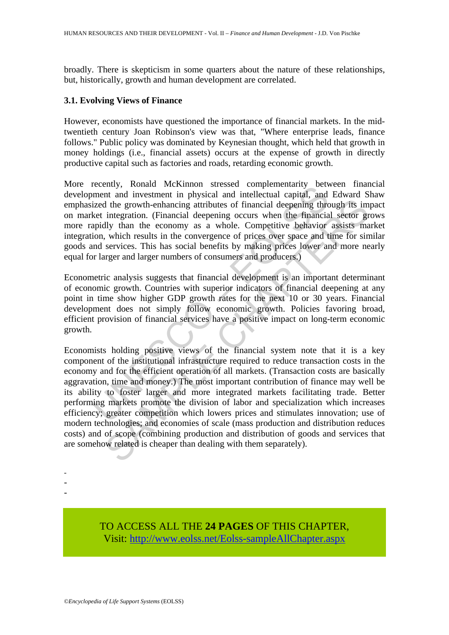broadly. There is skepticism in some quarters about the nature of these relationships, but, historically, growth and human development are correlated.

## **3.1. Evolving Views of Finance**

However, economists have questioned the importance of financial markets. In the midtwentieth century Joan Robinson's view was that, "Where enterprise leads, finance follows." Public policy was dominated by Keynesian thought, which held that growth in money holdings (i.e., financial assets) occurs at the expense of growth in directly productive capital such as factories and roads, retarding economic growth.

Eventy, Nonau on Wickmino suesseu compenentating verventing, wendined<br>timent and investment in physical and intellectual capital, and<br>ized the growth-enhancing attributes of financial deepening thre<br>ket integration. (Finan More recently, Ronald McKinnon stressed complementarity between financial development and investment in physical and intellectual capital, and Edward Shaw emphasized the growth-enhancing attributes of financial deepening through its impact on market integration. (Financial deepening occurs when the financial sector grows more rapidly than the economy as a whole. Competitive behavior assists market integration, which results in the convergence of prices over space and time for similar goods and services. This has social benefits by making prices lower and more nearly equal for larger and larger numbers of consumers and producers.)

Econometric analysis suggests that financial development is an important determinant of economic growth. Countries with superior indicators of financial deepening at any point in time show higher GDP growth rates for the next 10 or 30 years. Financial development does not simply follow economic growth. Policies favoring broad, efficient provision of financial services have a positive impact on long-term economic growth.

If the growth-enhancing attributes of financial deepening through its im integration. (Financial deepening occurs when the financial sector gradity than the conomy as a whole. Competitive behavior assists may which results Economists holding positive views of the financial system note that it is a key component of the institutional infrastructure required to reduce transaction costs in the economy and for the efficient operation of all markets. (Transaction costs are basically aggravation, time and money.) The most important contribution of finance may well be its ability to foster larger and more integrated markets facilitating trade. Better performing markets promote the division of labor and specialization which increases efficiency; greater competition which lowers prices and stimulates innovation; use of modern technologies; and economies of scale (mass production and distribution reduces costs) and of scope (combining production and distribution of goods and services that are somehow related is cheaper than dealing with them separately).

> TO ACCESS ALL THE **24 PAGES** OF THIS CHAPTER, Visi[t: http://www.eolss.net/Eolss-sampleAllChapter.aspx](https://www.eolss.net/ebooklib/sc_cart.aspx?File=E1-10-04-06)

- - -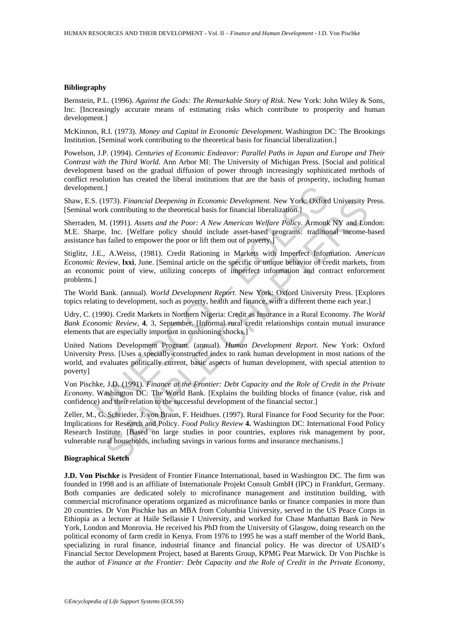#### **Bibliography**

Bernstein, P.L. (1996). *Against the Gods: The Remarkable Story of Risk*. New York: John Wiley & Sons, Inc. [Increasingly accurate means of estimating risks which contribute to prosperity and human development.]

McKinnon, R.I. (1973). *Money and Capital in Economic Development*. Washington DC: The Brookings Institution. [Seminal work contributing to the theoretical basis for financial liberalization.]

Powelson, J.P. (1994). *Centuries of Economic Endeavor: Parallel Paths in Japan and Europe and Their Contrast with the Third World.* Ann Arbor MI: The University of Michigan Press. [Social and political development based on the gradual diffusion of power through increasingly sophisticated methods of conflict resolution has created the liberal institutions that are the basis of prosperity, including human development.]

Shaw, E.S. (1973). *Financial Deepening in Economic Development*. New York: Oxford University Press. [Seminal work contributing to the theoretical basis for financial liberalization.]

Sherraden, M. (1991). *Assets and the Poor: A New American Welfare Policy*. Armonk NY and London: M.E. Sharpe, Inc. [Welfare policy should include asset-based programs: traditional income-based assistance has failed to empower the poor or lift them out of poverty.]

neut.]<br>
S. (1973). Financial Deepening in Economic Development. New York: Oxford<br>
work contributing to the theoretical basis for financial liberalizationk: Oxford<br>
No. M. (1991). Assets and the Poor: A New American Welfare Stiglitz, J.E., A.Weiss, (1981). Credit Rationing in Markets with Imperfect Information. *American Economic Review*, **lxxi**, June. [Seminal article on the specific or unique behavior of credit markets, from an economic point of view, utilizing concepts of imperfect information and contract enforcement problems.]

The World Bank. (annual). *World Development Report*. New York: Oxford University Press. [Explores topics relating to development, such as poverty, health and finance, with a different theme each year.]

Udry, C. (1990). Credit Markets in Northern Nigeria: Credit as Insurance in a Rural Economy. *The World Bank Economic Review*, **4**, 3, September. [Informal rural credit relationships contain mutual insurance elements that are especially important in cushioning shocks.]

United Nations Development Program. (annual). *Human Development Report*. New York: Oxford University Press. [Uses a specially-constructed index to rank human development in most nations of the world, and evaluates politically current, basic aspects of human development, with special attention to poverty]

Von Pischke, J.D. (1991). *Finance at the Frontier: Debt Capacity and the Role of Credit in the Private Economy*. Washington DC: The World Bank. [Explains the building blocks of finance (value, risk and confidence) and their relation to the successful development of the financial sector.]

1973). *Financial Deepening in Economic Development*. New York: Oxford University F<br>
contributing to the theoretical basis for financial librentization.]<br>
I. (1991). Assets and the Poor: A New American Welfare Policy. Armo Zeller, M., G. Schrieder, J. von Braun, F. Heidhues. (1997). Rural Finance for Food Security for the Poor: Implications for Research and Policy. *Food Policy Review* **4.** Washington DC: International Food Policy Research Institute. [Based on large studies in poor countries, explores risk management by poor, vulnerable rural households, including savings in various forms and insurance mechanisms.]

#### **Biographical Sketch**

**J.D. Von Pischke** is President of Frontier Finance International, based in Washington DC. The firm was founded in 1998 and is an affiliate of Internationale Projekt Consult GmbH (IPC) in Frankfurt, Germany. Both companies are dedicated solely to microfinance management and institution building, with commercial microfinance operations organized as microfinance banks or finance companies in more than 20 countries. Dr Von Pischke has an MBA from Columbia University, served in the US Peace Corps in Ethiopia as a lecturer at Haile Sellassie I University, and worked for Chase Manhattan Bank in New York, London and Monrovia. He received his PhD from the University of Glasgow, doing research on the political economy of farm credit in Kenya. From 1976 to 1995 he was a staff member of the World Bank, specializing in rural finance, industrial finance and financial policy. He was director of USAID's Financial Sector Development Project, based at Barents Group, KPMG Peat Marwick. Dr Von Pischke is the author of *Finance at the Frontier: Debt Capacity and the Role of Credit in the Private Economy*,